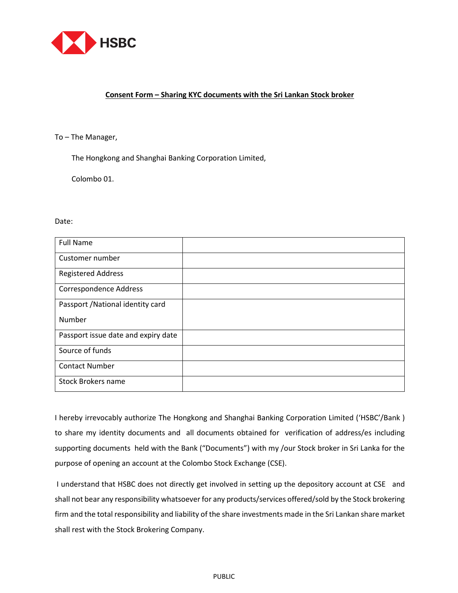

## **Consent Form – Sharing KYC documents with the Sri Lankan Stock broker**

## To – The Manager,

The Hongkong and Shanghai Banking Corporation Limited,

Colombo 01.

## Date:

| <b>Full Name</b>                    |  |
|-------------------------------------|--|
| Customer number                     |  |
| <b>Registered Address</b>           |  |
| Correspondence Address              |  |
| Passport / National identity card   |  |
| Number                              |  |
| Passport issue date and expiry date |  |
| Source of funds                     |  |
| <b>Contact Number</b>               |  |
| <b>Stock Brokers name</b>           |  |

I hereby irrevocably authorize The Hongkong and Shanghai Banking Corporation Limited ('HSBC'/Bank ) to share my identity documents and all documents obtained for verification of address/es including supporting documents held with the Bank ("Documents") with my /our Stock broker in Sri Lanka for the purpose of opening an account at the Colombo Stock Exchange (CSE).

I understand that HSBC does not directly get involved in setting up the depository account at CSE and shall not bear any responsibility whatsoever for any products/services offered/sold by the Stock brokering firm and the total responsibility and liability of the share investments made in the Sri Lankan share market shall rest with the Stock Brokering Company.